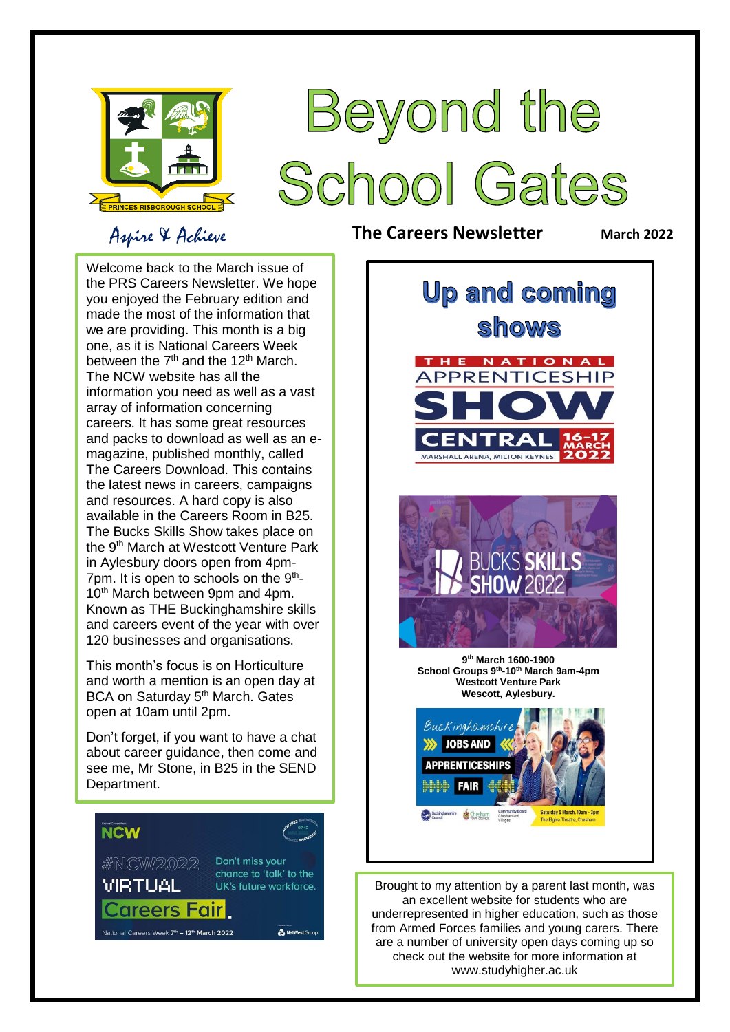

### Aspire & Achieve

# Beyond the School Gates

**The Careers Newsletter March** 2022

 made the most of the information that one, as it is National Careers Week magazine, published monthly, called The Careers Download. This contains the latest news in careers, campaigns Welcome back to the March issue of the PRS Careers Newsletter. We hope you enjoyed the February edition and we are providing. This month is a big between the  $7<sup>th</sup>$  and the 12<sup>th</sup> March. The NCW website has all the information you need as well as a vast array of information concerning careers. It has some great resources and packs to download as well as an eand resources. A hard copy is also available in the Careers Room in B25. The Bucks Skills Show takes place on the 9<sup>th</sup> March at Westcott Venture Park in Aylesbury doors open from 4pm-7pm. It is open to schools on the 9<sup>th</sup>-10<sup>th</sup> March between 9pm and 4pm. Known as THE Buckinghamshire skills and careers event of the year with over 120 businesses and organisations.

 This month's focus is on Horticulture and worth a mention is an open day at open at 10am until 2pm. BCA on Saturday 5<sup>th</sup> March. Gates

Don't forget, if you want to have a chat about career guidance, then come and see me, Mr Stone, in B25 in the SEND Department.





Brought to my attention by a parent last month, was an excellent website for students who are underrepresented in higher education, such as those from Armed Forces families and young carers. There are a number of university open days coming up so check out the website for more information at www.studyhigher.ac.uk